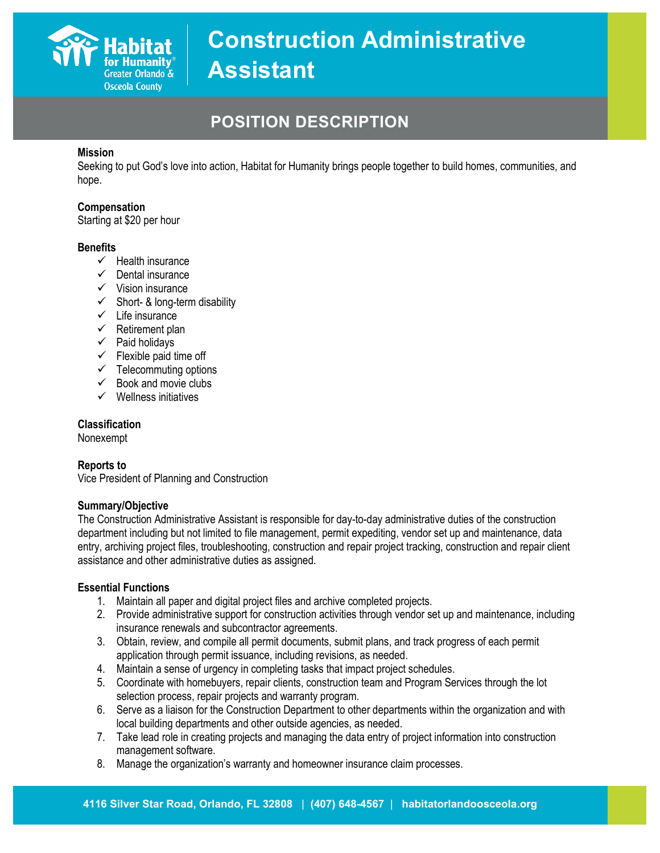

## **POSITION DESCRIPTION**

### **Mission**

Seeking to put God's love into action, Habitat for Humanity brings people together to build homes, communities, and hope.

#### **Compensation**

Starting at \$20 per hour

#### **Benefits**

- $\checkmark$  Health insurance
- $\checkmark$  Dental insurance
- $\checkmark$  Vision insurance
- $\checkmark$  Short- & long-term disability
- $\checkmark$  Life insurance
- $\checkmark$  Retirement plan
- $\checkmark$  Paid holidays
- $\checkmark$  Flexible paid time off
- $\checkmark$  Telecommuting options
- $\checkmark$  Book and movie clubs
- $\checkmark$  Wellness initiatives

#### **Classification**

Nonexempt

#### **Reports to**

Vice President of Planning and Construction

#### **Summary/Objective**

The Construction Administrative Assistant is responsible for day-to-day administrative duties of the construction department including but not limited to file management, permit expediting, vendor set up and maintenance, data entry, archiving project files, troubleshooting, construction and repair project tracking, construction and repair client assistance and other administrative duties as assigned.

#### **Essential Functions**

- 1. Maintain all paper and digital project files and archive completed projects.
- 2. Provide administrative support for construction activities through vendor set up and maintenance, including insurance renewals and subcontractor agreements.
- 3. Obtain, review, and compile all permit documents, submit plans, and track progress of each permit application through permit issuance, including revisions, as needed.
- 4. Maintain a sense of urgency in completing tasks that impact project schedules.
- 5. Coordinate with homebuyers, repair clients, construction team and Program Services through the lot selection process, repair projects and warranty program.
- 6. Serve as a liaison for the Construction Department to other departments within the organization and with local building departments and other outside agencies, as needed.
- 7. Take lead role in creating projects and managing the data entry of project information into construction management software.
- 8. Manage the organization's warranty and homeowner insurance claim processes.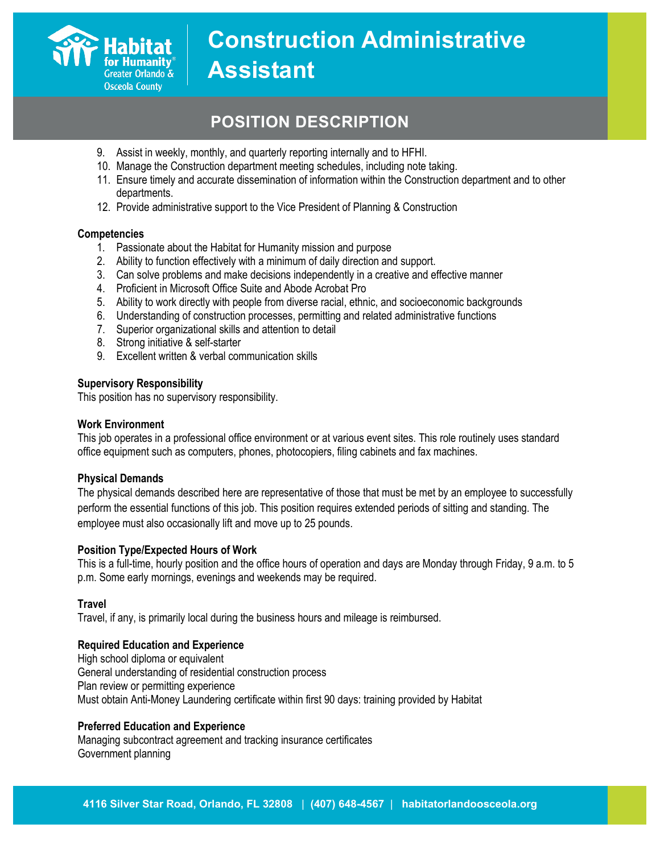

## **POSITION DESCRIPTION**

- 9. Assist in weekly, monthly, and quarterly reporting internally and to HFHI.
- 10. Manage the Construction department meeting schedules, including note taking.
- 11. Ensure timely and accurate dissemination of information within the Construction department and to other departments.
- 12. Provide administrative support to the Vice President of Planning & Construction

#### **Competencies**

- 1. Passionate about the Habitat for Humanity mission and purpose
- 2. Ability to function effectively with a minimum of daily direction and support.
- 3. Can solve problems and make decisions independently in a creative and effective manner
- 4. Proficient in Microsoft Office Suite and Abode Acrobat Pro
- 5. Ability to work directly with people from diverse racial, ethnic, and socioeconomic backgrounds
- 6. Understanding of construction processes, permitting and related administrative functions
- 7. Superior organizational skills and attention to detail
- 8. Strong initiative & self-starter
- 9. Excellent written & verbal communication skills

#### **Supervisory Responsibility**

This position has no supervisory responsibility.

#### **Work Environment**

This job operates in a professional office environment or at various event sites. This role routinely uses standard office equipment such as computers, phones, photocopiers, filing cabinets and fax machines.

#### **Physical Demands**

The physical demands described here are representative of those that must be met by an employee to successfully perform the essential functions of this job. This position requires extended periods of sitting and standing. The employee must also occasionally lift and move up to 25 pounds.

#### **Position Type/Expected Hours of Work**

This is a full-time, hourly position and the office hours of operation and days are Monday through Friday, 9 a.m. to 5 p.m. Some early mornings, evenings and weekends may be required.

#### **Travel**

Travel, if any, is primarily local during the business hours and mileage is reimbursed.

#### **Required Education and Experience**

High school diploma or equivalent General understanding of residential construction process Plan review or permitting experience Must obtain Anti-Money Laundering certificate within first 90 days: training provided by Habitat

#### **Preferred Education and Experience**

Managing subcontract agreement and tracking insurance certificates Government planning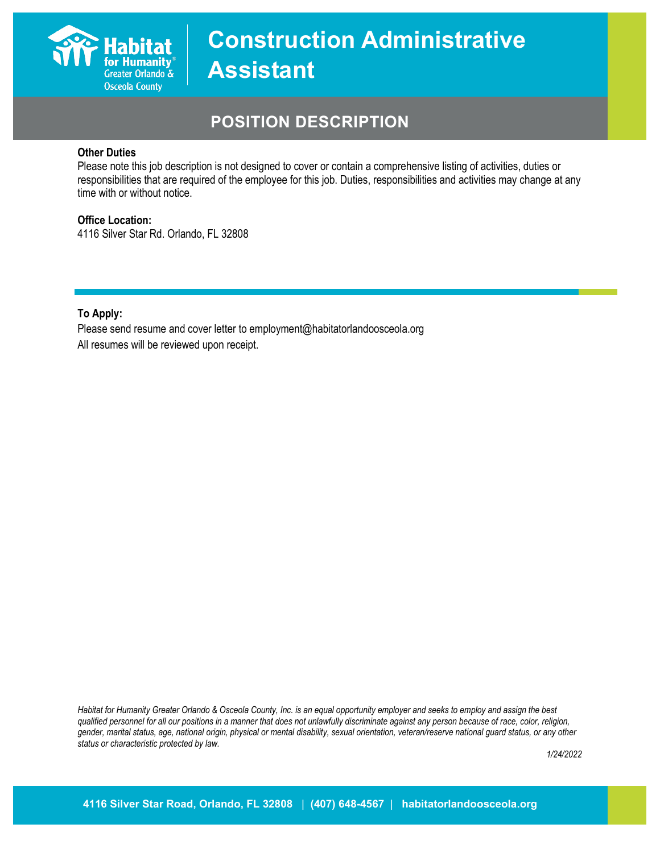

## **POSITION DESCRIPTION**

#### **Other Duties**

Please note this job description is not designed to cover or contain a comprehensive listing of activities, duties or responsibilities that are required of the employee for this job. Duties, responsibilities and activities may change at any time with or without notice.

### **Office Location:**

4116 Silver Star Rd. Orlando, FL 32808

**To Apply:**

Please send resume and cover letter to employment@habitatorlandoosceola.org All resumes will be reviewed upon receipt.

*Habitat for Humanity Greater Orlando & Osceola County, Inc. is an equal opportunity employer and seeks to employ and assign the best qualified personnel for all our positions in a manner that does not unlawfully discriminate against any person because of race, color, religion, gender, marital status, age, national origin, physical or mental disability, sexual orientation, veteran/reserve national guard status, or any other status or characteristic protected by law.*

*1/24/2022*